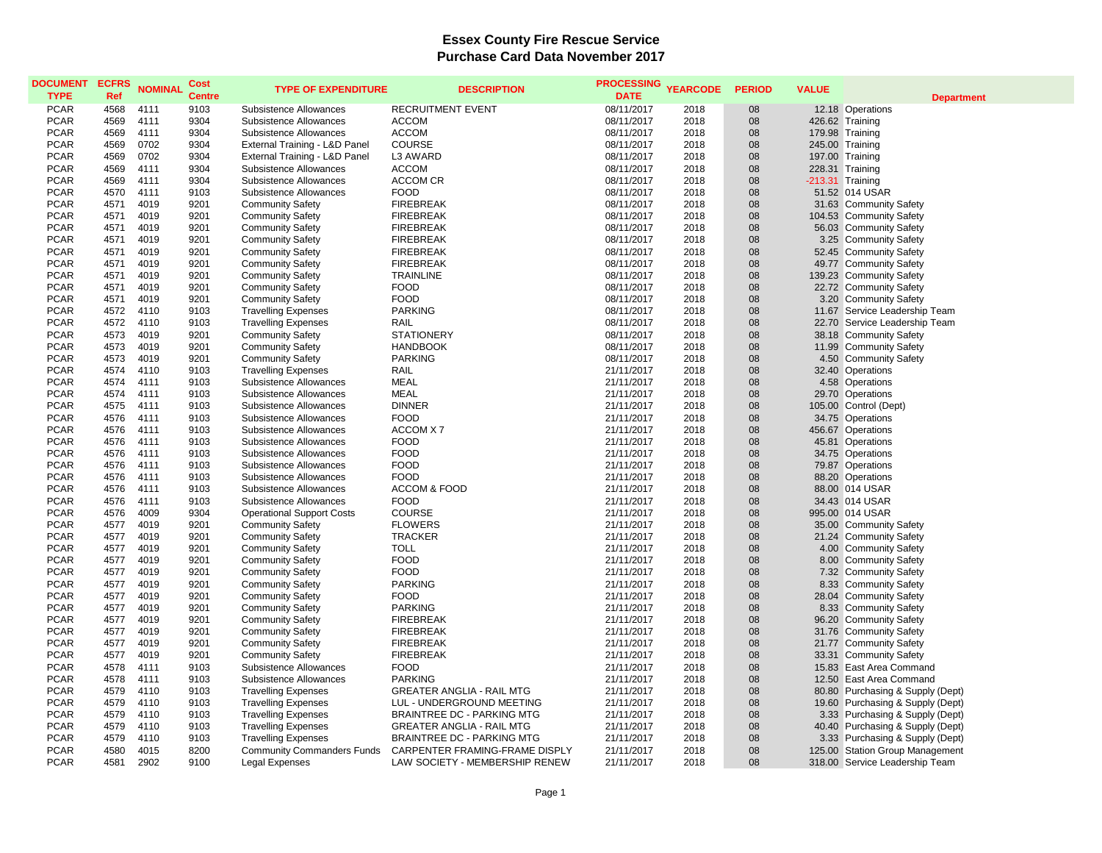| <b>DOCUMENT</b><br><b>TYPE</b> | <b>ECFRS</b><br>Ref | <b>NOMINAL</b> | Cost<br><b>Centre</b> | <b>TYPE OF EXPENDITURE</b>                                 | <b>DESCRIPTION</b>                   | <b>PROCESSING</b><br><b>DATE</b> | <b>YEARCODE</b> | <b>PERIOD</b> | <b>VALUE</b> | <b>Department</b>                                |
|--------------------------------|---------------------|----------------|-----------------------|------------------------------------------------------------|--------------------------------------|----------------------------------|-----------------|---------------|--------------|--------------------------------------------------|
| <b>PCAR</b>                    | 4568                | 4111           | 9103                  | <b>Subsistence Allowances</b>                              | <b>RECRUITMENT EVENT</b>             | 08/11/2017                       | 2018            | 08            |              | 12.18 Operations                                 |
| <b>PCAR</b>                    | 4569                | 4111           | 9304                  | Subsistence Allowances                                     | <b>ACCOM</b>                         | 08/11/2017                       | 2018            | 08            |              | 426.62 Training                                  |
| <b>PCAR</b>                    | 4569                | 4111           | 9304                  | Subsistence Allowances                                     | <b>ACCOM</b>                         | 08/11/2017                       | 2018            | 08            |              | 179.98 Training                                  |
| <b>PCAR</b>                    | 4569                | 0702           | 9304                  | External Training - L&D Panel                              | <b>COURSE</b>                        | 08/11/2017                       | 2018            | 08            |              | 245.00 Training                                  |
| <b>PCAR</b>                    | 4569                | 0702           | 9304                  | External Training - L&D Panel                              | L3 AWARD                             | 08/11/2017                       | 2018            | 08            |              | 197.00 Training                                  |
| <b>PCAR</b>                    | 4569                | 4111           | 9304                  | Subsistence Allowances                                     | <b>ACCOM</b>                         | 08/11/2017                       | 2018            | 08            |              | 228.31 Training                                  |
| <b>PCAR</b>                    | 4569                | 4111           | 9304                  | Subsistence Allowances                                     | <b>ACCOM CR</b>                      | 08/11/2017                       | 2018            | 08            |              | -213.31 Training                                 |
| <b>PCAR</b>                    | 4570                | 4111           | 9103                  | Subsistence Allowances                                     | <b>FOOD</b>                          | 08/11/2017                       | 2018            | 08            |              | 51.52 014 USAR                                   |
| <b>PCAR</b>                    | 4571                | 4019           | 9201                  | <b>Community Safety</b>                                    | <b>FIREBREAK</b>                     | 08/11/2017                       | 2018            | 08            |              | 31.63 Community Safety                           |
| <b>PCAR</b>                    | 4571                | 4019           | 9201                  | <b>Community Safety</b>                                    | <b>FIREBREAK</b>                     | 08/11/2017                       | 2018            | 08            |              | 104.53 Community Safety                          |
| <b>PCAR</b>                    | 4571                | 4019           | 9201                  | <b>Community Safety</b>                                    | <b>FIREBREAK</b>                     | 08/11/2017                       | 2018            | 08            |              | 56.03 Community Safety                           |
| <b>PCAR</b>                    | 4571                | 4019           | 9201                  | <b>Community Safety</b>                                    | <b>FIREBREAK</b>                     | 08/11/2017                       | 2018            | 08            |              | 3.25 Community Safety                            |
| <b>PCAR</b>                    | 4571                | 4019           | 9201                  | <b>Community Safety</b>                                    | <b>FIREBREAK</b>                     | 08/11/2017                       | 2018            | 08            |              | 52.45 Community Safety                           |
| <b>PCAR</b>                    | 4571                | 4019           | 9201                  | <b>Community Safety</b>                                    | <b>FIREBREAK</b>                     | 08/11/2017                       | 2018            | 08            |              | 49.77 Community Safety                           |
| <b>PCAR</b>                    | 4571                | 4019           | 9201                  | <b>Community Safety</b>                                    | <b>TRAINLINE</b>                     | 08/11/2017                       | 2018            | 08            |              | 139.23 Community Safety                          |
| <b>PCAR</b>                    | 4571                | 4019           | 9201                  | <b>Community Safety</b>                                    | <b>FOOD</b>                          | 08/11/2017                       | 2018            | 08            |              | 22.72 Community Safety                           |
| <b>PCAR</b>                    | 4571                | 4019           | 9201                  | <b>Community Safety</b>                                    | <b>FOOD</b>                          | 08/11/2017                       | 2018            | 08            |              | 3.20 Community Safety                            |
| <b>PCAR</b>                    | 4572                | 4110           | 9103                  | <b>Travelling Expenses</b>                                 | <b>PARKING</b>                       | 08/11/2017                       | 2018            | 08            |              | 11.67 Service Leadership Team                    |
| <b>PCAR</b>                    | 4572                | 4110           | 9103                  | <b>Travelling Expenses</b>                                 | RAIL                                 | 08/11/2017                       | 2018            | 08            |              | 22.70 Service Leadership Team                    |
| <b>PCAR</b>                    | 4573                | 4019           | 9201                  | <b>Community Safety</b>                                    | <b>STATIONERY</b>                    | 08/11/2017                       | 2018            | 08            |              | 38.18 Community Safety                           |
| <b>PCAR</b>                    | 4573                | 4019           | 9201                  | <b>Community Safety</b>                                    | <b>HANDBOOK</b>                      | 08/11/2017                       | 2018            | 08            |              | 11.99 Community Safety                           |
| <b>PCAR</b>                    | 4573                | 4019           | 9201                  | <b>Community Safety</b>                                    | <b>PARKING</b>                       | 08/11/2017                       | 2018            | 08            |              | 4.50 Community Safety                            |
| <b>PCAR</b>                    | 4574                | 4110           | 9103                  | <b>Travelling Expenses</b>                                 | RAIL                                 | 21/11/2017                       | 2018            | 08            |              | 32.40 Operations                                 |
| <b>PCAR</b>                    | 4574                | 4111           | 9103                  | Subsistence Allowances                                     | <b>MEAL</b>                          | 21/11/2017                       | 2018            | 08            |              | 4.58 Operations                                  |
| <b>PCAR</b>                    | 4574                | 4111           | 9103                  | Subsistence Allowances                                     | <b>MEAL</b>                          | 21/11/2017                       | 2018            | 08            |              | 29.70 Operations                                 |
| <b>PCAR</b>                    | 4575                | 4111           | 9103                  | Subsistence Allowances                                     | <b>DINNER</b>                        | 21/11/2017                       | 2018            | 08            |              | 105.00 Control (Dept)                            |
| <b>PCAR</b>                    | 4576                | 4111           | 9103                  | Subsistence Allowances                                     | <b>FOOD</b>                          | 21/11/2017                       | 2018            | 08            |              | 34.75 Operations                                 |
| <b>PCAR</b>                    | 4576                | 4111           | 9103                  | Subsistence Allowances                                     | ACCOM X7                             | 21/11/2017                       | 2018            | 08            |              | 456.67 Operations                                |
| <b>PCAR</b>                    | 4576                | 4111           | 9103                  | Subsistence Allowances                                     | <b>FOOD</b>                          | 21/11/2017                       | 2018            | 08            |              | 45.81 Operations                                 |
| <b>PCAR</b>                    | 4576                | 4111           | 9103                  | Subsistence Allowances                                     | <b>FOOD</b>                          | 21/11/2017                       | 2018            | 08            |              | 34.75 Operations                                 |
| <b>PCAR</b>                    | 4576                | 4111           | 9103                  | Subsistence Allowances                                     | <b>FOOD</b>                          | 21/11/2017                       | 2018            | 08            |              | 79.87 Operations                                 |
| <b>PCAR</b>                    | 4576                | 4111           | 9103                  | Subsistence Allowances                                     | <b>FOOD</b>                          |                                  | 2018            | 08            |              | 88.20 Operations                                 |
| <b>PCAR</b>                    | 4576                | 4111           | 9103                  | Subsistence Allowances                                     | <b>ACCOM &amp; FOOD</b>              | 21/11/2017<br>21/11/2017         | 2018            | 08            |              |                                                  |
| <b>PCAR</b>                    |                     |                |                       |                                                            | <b>FOOD</b>                          |                                  | 2018            | 08            |              | 88.00 014 USAR                                   |
| <b>PCAR</b>                    | 4576<br>4576        | 4111<br>4009   | 9103<br>9304          | Subsistence Allowances<br><b>Operational Support Costs</b> | <b>COURSE</b>                        | 21/11/2017<br>21/11/2017         | 2018            | 08            |              | 34.43 014 USAR<br>995.00 014 USAR                |
| <b>PCAR</b>                    | 4577                | 4019           | 9201                  | <b>Community Safety</b>                                    | <b>FLOWERS</b>                       | 21/11/2017                       | 2018            | 08            |              | 35.00 Community Safety                           |
| <b>PCAR</b>                    |                     | 4019           |                       |                                                            | <b>TRACKER</b>                       |                                  |                 |               |              |                                                  |
|                                | 4577                | 4019           | 9201<br>9201          | <b>Community Safety</b>                                    |                                      | 21/11/2017                       | 2018<br>2018    | 08            |              | 21.24 Community Safety                           |
| <b>PCAR</b><br><b>PCAR</b>     | 4577<br>4577        | 4019           | 9201                  | <b>Community Safety</b><br><b>Community Safety</b>         | <b>TOLL</b><br><b>FOOD</b>           | 21/11/2017                       | 2018            | 08<br>08      |              | 4.00 Community Safety<br>8.00 Community Safety   |
| <b>PCAR</b>                    | 4577                | 4019           | 9201                  | <b>Community Safety</b>                                    | <b>FOOD</b>                          | 21/11/2017<br>21/11/2017         | 2018            | 08            |              | 7.32 Community Safety                            |
| <b>PCAR</b>                    | 4577                | 4019           | 9201                  | <b>Community Safety</b>                                    | <b>PARKING</b>                       | 21/11/2017                       | 2018            | 08            |              | 8.33 Community Safety                            |
|                                |                     | 4019           |                       |                                                            |                                      |                                  |                 |               |              |                                                  |
| <b>PCAR</b><br><b>PCAR</b>     | 4577<br>4577        | 4019           | 9201<br>9201          | <b>Community Safety</b>                                    | <b>FOOD</b><br><b>PARKING</b>        | 21/11/2017<br>21/11/2017         | 2018<br>2018    | 08<br>08      |              | 28.04 Community Safety                           |
| PCAR                           | 4577                | 4019           | 9201                  | <b>Community Safety</b>                                    | <b>FIREBREAK</b>                     | 21/11/2017                       | 2018            | 08            |              | 8.33 Community Safety                            |
| <b>PCAR</b>                    |                     | 4019           |                       | <b>Community Safety</b>                                    | <b>FIREBREAK</b>                     |                                  |                 | 08            |              | 96.20 Community Safety                           |
| <b>PCAR</b>                    | 4577                |                | 9201                  | <b>Community Safety</b>                                    |                                      | 21/11/2017                       | 2018            |               |              | 31.76 Community Safety                           |
| <b>PCAR</b>                    | 4577<br>4577        | 4019<br>4019   | 9201<br>9201          | <b>Community Safety</b><br><b>Community Safety</b>         | <b>FIREBREAK</b><br><b>FIREBREAK</b> | 21/11/2017<br>21/11/2017         | 2018<br>2018    | 08<br>08      |              | 21.77 Community Safety<br>33.31 Community Safety |
| <b>PCAR</b>                    |                     |                |                       |                                                            | <b>FOOD</b>                          |                                  |                 |               |              |                                                  |
| <b>PCAR</b>                    | 4578                | 4111<br>4111   | 9103<br>9103          | Subsistence Allowances                                     | <b>PARKING</b>                       | 21/11/2017                       | 2018<br>2018    | 08<br>08      |              | 15.83 East Area Command                          |
|                                | 4578                |                |                       | Subsistence Allowances                                     |                                      | 21/11/2017                       |                 |               |              | 12.50 East Area Command                          |
| <b>PCAR</b>                    | 4579                | 4110           | 9103                  | <b>Travelling Expenses</b>                                 | <b>GREATER ANGLIA - RAIL MTG</b>     | 21/11/2017                       | 2018            | 08            |              | 80.80 Purchasing & Supply (Dept)                 |
| <b>PCAR</b>                    | 4579                | 4110           | 9103                  | <b>Travelling Expenses</b>                                 | LUL - UNDERGROUND MEETING            | 21/11/2017                       | 2018            | 08            |              | 19.60 Purchasing & Supply (Dept)                 |
| PCAR                           | 4579                | 4110           | 9103                  | <b>Travelling Expenses</b>                                 | <b>BRAINTREE DC - PARKING MTG</b>    | 21/11/2017                       | 2018            | 08            |              | 3.33 Purchasing & Supply (Dept)                  |
| <b>PCAR</b>                    | 4579                | 4110           | 9103                  | <b>Travelling Expenses</b>                                 | <b>GREATER ANGLIA - RAIL MTG</b>     | 21/11/2017                       | 2018            | 08            |              | 40.40 Purchasing & Supply (Dept)                 |
| <b>PCAR</b>                    | 4579                | 4110           | 9103                  | <b>Travelling Expenses</b>                                 | <b>BRAINTREE DC - PARKING MTG</b>    | 21/11/2017                       | 2018            | 08            |              | 3.33 Purchasing & Supply (Dept)                  |
| <b>PCAR</b>                    | 4580                | 4015           | 8200                  | <b>Community Commanders Funds</b>                          | CARPENTER FRAMING-FRAME DISPLY       | 21/11/2017                       | 2018            | 08            |              | 125.00 Station Group Management                  |
| <b>PCAR</b>                    | 4581                | 2902           | 9100                  | <b>Legal Expenses</b>                                      | LAW SOCIETY - MEMBERSHIP RENEW       | 21/11/2017                       | 2018            | 08            |              | 318.00 Service Leadership Team                   |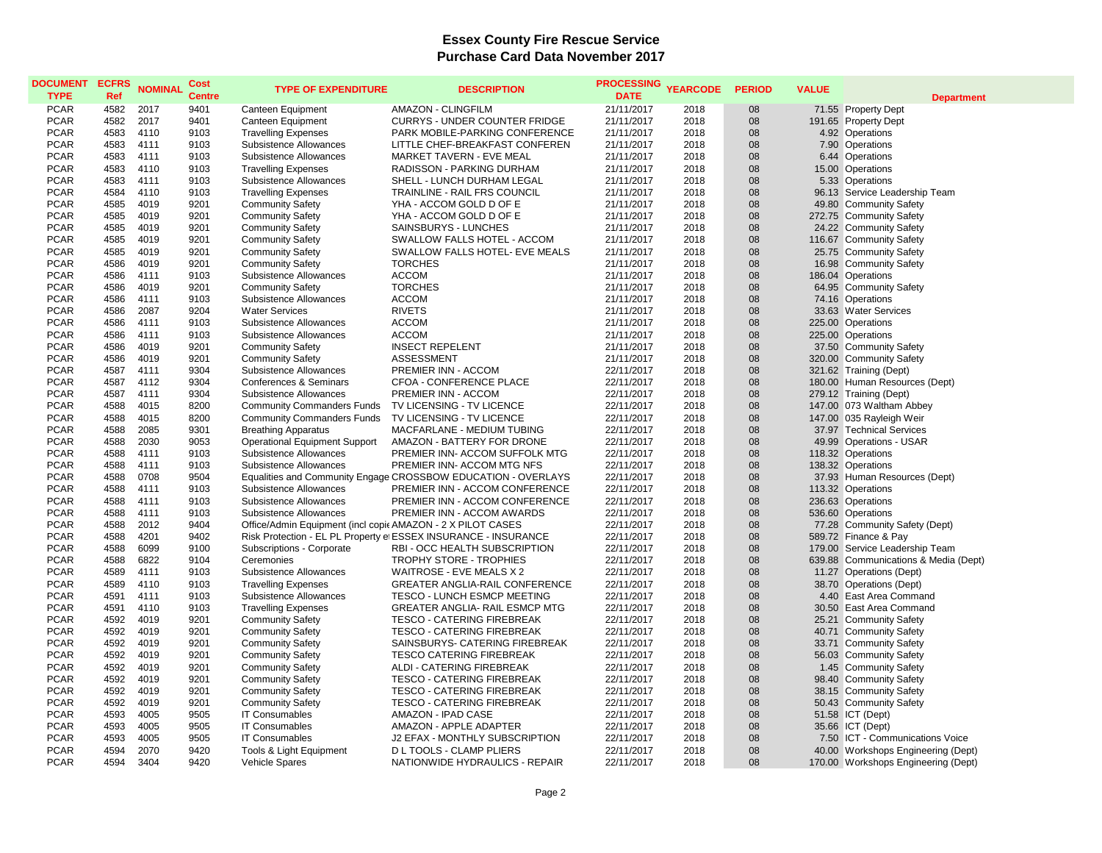| <b>DOCUMENT</b><br><b>TYPE</b> | <b>ECFRS</b><br>Ref | <b>NOMINAL</b> | Cost<br><b>Centre</b> | <b>TYPE OF EXPENDITURE</b>                                  | <b>DESCRIPTION</b>                                              | <b>PROCESSING</b><br><b>DATE</b> | <b>YEARCODE</b> | <b>PERIOD</b> | <b>VALUE</b> | <b>Department</b>                                  |
|--------------------------------|---------------------|----------------|-----------------------|-------------------------------------------------------------|-----------------------------------------------------------------|----------------------------------|-----------------|---------------|--------------|----------------------------------------------------|
| <b>PCAR</b>                    | 4582                | 2017           | 9401                  | Canteen Equipment                                           | <b>AMAZON - CLINGFILM</b>                                       | 21/11/2017                       | 2018            | 08            |              | 71.55 Property Dept                                |
| <b>PCAR</b>                    | 4582                | 2017           | 9401                  | Canteen Equipment                                           | <b>CURRYS - UNDER COUNTER FRIDGE</b>                            | 21/11/2017                       | 2018            | 08            |              | 191.65 Property Dept                               |
| <b>PCAR</b>                    | 4583                | 4110           | 9103                  | <b>Travelling Expenses</b>                                  | PARK MOBILE-PARKING CONFERENCE                                  | 21/11/2017                       | 2018            | 08            |              | 4.92 Operations                                    |
| <b>PCAR</b>                    | 4583                | 4111           | 9103                  | Subsistence Allowances                                      | LITTLE CHEF-BREAKFAST CONFEREN                                  | 21/11/2017                       | 2018            | 08            |              | 7.90 Operations                                    |
| <b>PCAR</b>                    | 4583                | 4111           | 9103                  | Subsistence Allowances                                      | MARKET TAVERN - EVE MEAL                                        | 21/11/2017                       | 2018            | 08            |              | 6.44 Operations                                    |
| <b>PCAR</b>                    | 4583                | 4110           | 9103                  | <b>Travelling Expenses</b>                                  | RADISSON - PARKING DURHAM                                       | 21/11/2017                       | 2018            | 08            |              | 15.00 Operations                                   |
| <b>PCAR</b>                    | 4583                | 4111           | 9103                  | <b>Subsistence Allowances</b>                               | SHELL - LUNCH DURHAM LEGAL                                      | 21/11/2017                       | 2018            | 08            |              | 5.33 Operations                                    |
| <b>PCAR</b>                    | 4584                | 4110           | 9103                  | <b>Travelling Expenses</b>                                  | TRAINLINE - RAIL FRS COUNCIL                                    | 21/11/2017                       | 2018            | 08            |              | 96.13 Service Leadership Team                      |
| <b>PCAR</b>                    | 4585                | 4019           | 9201                  | <b>Community Safety</b>                                     | YHA - ACCOM GOLD D OF E                                         | 21/11/2017                       | 2018            | 08            |              | 49.80 Community Safety                             |
| <b>PCAR</b>                    | 4585                | 4019           | 9201                  | <b>Community Safety</b>                                     | YHA - ACCOM GOLD D OF E                                         | 21/11/2017                       | 2018            | 08            |              | 272.75 Community Safety                            |
| <b>PCAR</b>                    | 4585                | 4019           | 9201                  | <b>Community Safety</b>                                     | SAINSBURYS - LUNCHES                                            | 21/11/2017                       | 2018            | 08            |              | 24.22 Community Safety                             |
| <b>PCAR</b>                    | 4585                | 4019           | 9201                  | <b>Community Safety</b>                                     | SWALLOW FALLS HOTEL - ACCOM                                     | 21/11/2017                       | 2018            | 08            |              | 116.67 Community Safety                            |
| <b>PCAR</b>                    | 4585                | 4019           | 9201                  | <b>Community Safety</b>                                     | SWALLOW FALLS HOTEL- EVE MEALS                                  | 21/11/2017                       | 2018            | 08            |              | 25.75 Community Safety                             |
| <b>PCAR</b>                    | 4586                | 4019           | 9201                  | <b>Community Safety</b>                                     | <b>TORCHES</b>                                                  | 21/11/2017                       | 2018            | 08            |              | 16.98 Community Safety                             |
| <b>PCAR</b>                    | 4586                | 4111           | 9103                  | Subsistence Allowances                                      | <b>ACCOM</b>                                                    | 21/11/2017                       | 2018            | 08            |              | 186.04 Operations                                  |
| <b>PCAR</b>                    | 4586                | 4019           | 9201                  | <b>Community Safety</b>                                     | <b>TORCHES</b>                                                  | 21/11/2017                       | 2018            | 08            |              | 64.95 Community Safety                             |
| <b>PCAR</b>                    | 4586                | 4111           | 9103                  | Subsistence Allowances                                      | <b>ACCOM</b>                                                    | 21/11/2017                       | 2018            | 08            |              | 74.16 Operations                                   |
| <b>PCAR</b>                    | 4586                | 2087           | 9204                  | <b>Water Services</b>                                       | <b>RIVETS</b>                                                   | 21/11/2017                       | 2018            | 08            |              | 33.63 Water Services                               |
| <b>PCAR</b>                    | 4586                | 4111           | 9103                  | Subsistence Allowances                                      | <b>ACCOM</b>                                                    | 21/11/2017                       | 2018            | 08            |              | 225.00 Operations                                  |
| <b>PCAR</b>                    | 4586                | 4111           | 9103                  | Subsistence Allowances                                      | <b>ACCOM</b>                                                    | 21/11/2017                       | 2018            | 08            |              | 225.00 Operations                                  |
| <b>PCAR</b>                    | 4586                | 4019           | 9201                  | <b>Community Safety</b>                                     | <b>INSECT REPELENT</b>                                          | 21/11/2017                       | 2018            | 08            |              | 37.50 Community Safety                             |
| <b>PCAR</b>                    | 4586                | 4019           | 9201                  | <b>Community Safety</b>                                     | <b>ASSESSMENT</b>                                               | 21/11/2017                       | 2018            | 08            |              | 320.00 Community Safety                            |
| <b>PCAR</b>                    | 4587                | 4111           | 9304                  | Subsistence Allowances                                      | PREMIER INN - ACCOM                                             | 22/11/2017                       | 2018            | 08            |              | 321.62 Training (Dept)                             |
| <b>PCAR</b>                    | 4587                | 4112           | 9304                  | Conferences & Seminars                                      | CFOA - CONFERENCE PLACE                                         | 22/11/2017                       | 2018            | 08            |              | 180.00 Human Resources (Dept)                      |
| <b>PCAR</b>                    | 4587                | 4111           | 9304                  | Subsistence Allowances                                      | PREMIER INN - ACCOM                                             | 22/11/2017                       | 2018            | 08            |              | 279.12 Training (Dept)                             |
| <b>PCAR</b>                    | 4588                | 4015           | 8200                  | <b>Community Commanders Funds</b>                           | TV LICENSING - TV LICENCE                                       | 22/11/2017                       | 2018            | 08            |              | 147.00 073 Waltham Abbey                           |
| <b>PCAR</b>                    | 4588                | 4015           | 8200                  | <b>Community Commanders Funds</b>                           | TV LICENSING - TV LICENCE                                       | 22/11/2017                       | 2018            | 08            |              | 147.00 035 Rayleigh Weir                           |
| <b>PCAR</b>                    | 4588                | 2085           | 9301                  | <b>Breathing Apparatus</b>                                  | MACFARLANE - MEDIUM TUBING                                      | 22/11/2017                       | 2018            | 08            |              | 37.97 Technical Services                           |
| <b>PCAR</b>                    | 4588                | 2030           | 9053                  | <b>Operational Equipment Support</b>                        | AMAZON - BATTERY FOR DRONE                                      | 22/11/2017                       | 2018            | 08            |              | 49.99 Operations - USAR                            |
| <b>PCAR</b>                    | 4588                | 4111           | 9103                  | Subsistence Allowances                                      | PREMIER INN- ACCOM SUFFOLK MTG                                  | 22/11/2017                       | 2018            | 08            |              | 118.32 Operations                                  |
| <b>PCAR</b>                    | 4588                | 4111           | 9103                  | Subsistence Allowances                                      | PREMIER INN- ACCOM MTG NFS                                      | 22/11/2017                       | 2018            | 08            |              | 138.32 Operations                                  |
| <b>PCAR</b>                    | 4588                | 0708           | 9504                  |                                                             | Equalities and Community Engage CROSSBOW EDUCATION - OVERLAYS   | 22/11/2017                       | 2018            | 08            |              | 37.93 Human Resources (Dept)                       |
| <b>PCAR</b>                    | 4588                | 4111           | 9103                  | Subsistence Allowances                                      | PREMIER INN - ACCOM CONFERENCE                                  | 22/11/2017                       | 2018            | 08            |              | 113.32 Operations                                  |
| <b>PCAR</b>                    | 4588                | 4111           | 9103                  | Subsistence Allowances                                      | PREMIER INN - ACCOM CONFERENCE                                  | 22/11/2017                       | 2018            | 08            |              | 236.63 Operations                                  |
| <b>PCAR</b>                    | 4588                | 4111           | 9103                  | Subsistence Allowances                                      | PREMIER INN - ACCOM AWARDS                                      | 22/11/2017                       | 2018            | 08            |              | 536.60 Operations                                  |
| <b>PCAR</b>                    | 4588                | 2012           | 9404                  | Office/Admin Equipment (incl copic AMAZON - 2 X PILOT CASES |                                                                 | 22/11/2017                       | 2018            | 08            |              | 77.28 Community Safety (Dept)                      |
| <b>PCAR</b>                    | 4588                | 4201           | 9402                  |                                                             | Risk Protection - EL PL Property et ESSEX INSURANCE - INSURANCE | 22/11/2017                       | 2018            | 08            |              | 589.72 Finance & Pay                               |
| <b>PCAR</b>                    | 4588                | 6099           | 9100                  | Subscriptions - Corporate                                   | RBI - OCC HEALTH SUBSCRIPTION                                   | 22/11/2017                       | 2018            | 08            |              | 179.00 Service Leadership Team                     |
| <b>PCAR</b><br><b>PCAR</b>     | 4588<br>4589        | 6822<br>4111   | 9104<br>9103          | Ceremonies                                                  | <b>TROPHY STORE - TROPHIES</b>                                  | 22/11/2017                       | 2018<br>2018    | 08<br>08      |              | 639.88 Communications & Media (Dept)               |
| <b>PCAR</b>                    | 4589                | 4110           | 9103                  | Subsistence Allowances                                      | WAITROSE - EVE MEALS X 2<br>GREATER ANGLIA-RAIL CONFERENCE      | 22/11/2017<br>22/11/2017         | 2018            | 08            |              | 11.27 Operations (Dept)<br>38.70 Operations (Dept) |
| <b>PCAR</b>                    | 4591                | 4111           | 9103                  | <b>Travelling Expenses</b><br>Subsistence Allowances        | TESCO - LUNCH ESMCP MEETING                                     | 22/11/2017                       | 2018            | 08            |              | 4.40 East Area Command                             |
| <b>PCAR</b>                    | 4591                | 4110           | 9103                  | <b>Travelling Expenses</b>                                  | GREATER ANGLIA- RAIL ESMCP MTG                                  | 22/11/2017                       | 2018            | 08            |              | 30.50 East Area Command                            |
| <b>PCAR</b>                    | 4592                | 4019           | 9201                  | <b>Community Safety</b>                                     | TESCO - CATERING FIREBREAK                                      | 22/11/2017                       | 2018            | 08            |              | 25.21 Community Safety                             |
| <b>PCAR</b>                    | 4592                | 4019           | 9201                  | <b>Community Safety</b>                                     | TESCO - CATERING FIREBREAK                                      | 22/11/2017                       | 2018            | 08            |              | 40.71 Community Safety                             |
| <b>PCAR</b>                    | 4592                | 4019           | 9201                  | <b>Community Safety</b>                                     | SAINSBURYS- CATERING FIREBREAK                                  | 22/11/2017                       | 2018            | 08            |              | 33.71 Community Safety                             |
| <b>PCAR</b>                    | 4592                | 4019           | 9201                  | <b>Community Safety</b>                                     | <b>TESCO CATERING FIREBREAK</b>                                 | 22/11/2017                       | 2018            | 08            |              | 56.03 Community Safety                             |
| <b>PCAR</b>                    | 4592                | 4019           | 9201                  | <b>Community Safety</b>                                     | ALDI - CATERING FIREBREAK                                       | 22/11/2017                       | 2018            | 08            |              | 1.45 Community Safety                              |
| <b>PCAR</b>                    | 4592                | 4019           | 9201                  | <b>Community Safety</b>                                     | <b>TESCO - CATERING FIREBREAK</b>                               | 22/11/2017                       | 2018            | 08            |              | 98.40 Community Safety                             |
| <b>PCAR</b>                    | 4592                | 4019           | 9201                  | <b>Community Safety</b>                                     | <b>TESCO - CATERING FIREBREAK</b>                               | 22/11/2017                       | 2018            | 08            |              | 38.15 Community Safety                             |
| <b>PCAR</b>                    | 4592                | 4019           | 9201                  | <b>Community Safety</b>                                     | <b>TESCO - CATERING FIREBREAK</b>                               | 22/11/2017                       | 2018            | 08            |              | 50.43 Community Safety                             |
| <b>PCAR</b>                    | 4593                | 4005           | 9505                  | <b>IT Consumables</b>                                       | AMAZON - IPAD CASE                                              | 22/11/2017                       | 2018            | 08            |              | 51.58 ICT (Dept)                                   |
| <b>PCAR</b>                    | 4593                | 4005           | 9505                  | <b>IT Consumables</b>                                       | AMAZON - APPLE ADAPTER                                          | 22/11/2017                       | 2018            | 08            |              | 35.66 ICT (Dept)                                   |
| <b>PCAR</b>                    | 4593                | 4005           | 9505                  | <b>IT Consumables</b>                                       | J2 EFAX - MONTHLY SUBSCRIPTION                                  | 22/11/2017                       | 2018            | 08            |              | 7.50 ICT - Communications Voice                    |
| <b>PCAR</b>                    | 4594                | 2070           | 9420                  | Tools & Light Equipment                                     | D L TOOLS - CLAMP PLIERS                                        | 22/11/2017                       | 2018            | 08            |              | 40.00 Workshops Engineering (Dept)                 |
| <b>PCAR</b>                    | 4594                | 3404           | 9420                  | Vehicle Spares                                              | NATIONWIDE HYDRAULICS - REPAIR                                  | 22/11/2017                       | 2018            | 08            |              | 170.00 Workshops Engineering (Dept)                |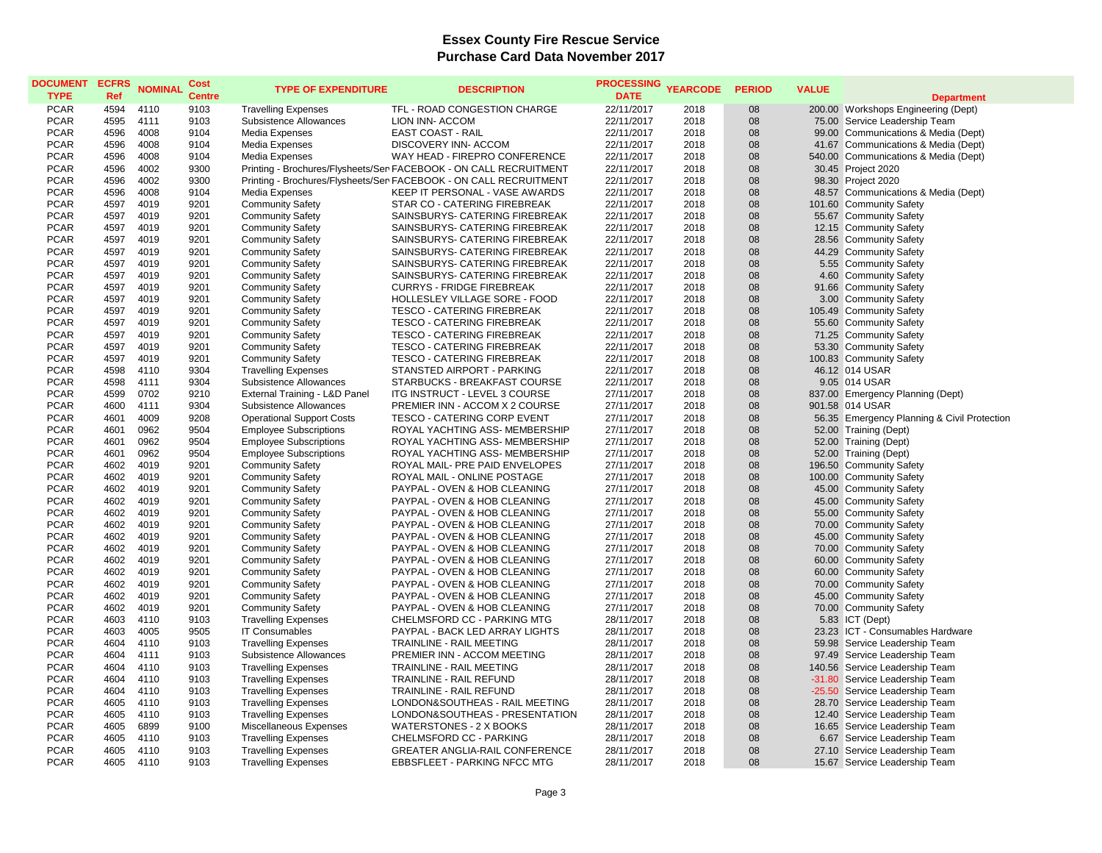| <b>DOCUMENT</b><br><b>TYPE</b> | <b>ECFRS</b><br>Ref | <b>NOMINAL</b> | Cost<br><b>Centre</b> | <b>TYPE OF EXPENDITURE</b>       | <b>DESCRIPTION</b>                                                | <b>PROCESSING</b><br><b>DATE</b> | <b>YEARCODE</b> | <b>PERIOD</b> | <b>VALUE</b> |                                             |
|--------------------------------|---------------------|----------------|-----------------------|----------------------------------|-------------------------------------------------------------------|----------------------------------|-----------------|---------------|--------------|---------------------------------------------|
|                                |                     |                |                       |                                  |                                                                   |                                  |                 |               |              | <b>Department</b>                           |
| <b>PCAR</b>                    | 4594                | 4110           | 9103                  | <b>Travelling Expenses</b>       | TFL - ROAD CONGESTION CHARGE                                      | 22/11/2017                       | 2018            | 08            |              | 200.00 Workshops Engineering (Dept)         |
| <b>PCAR</b>                    | 4595                | 4111           | 9103                  | Subsistence Allowances           | LION INN- ACCOM                                                   | 22/11/2017                       | 2018            | 08            |              | 75.00 Service Leadership Team               |
| <b>PCAR</b>                    | 4596                | 4008           | 9104                  | Media Expenses                   | EAST COAST - RAIL                                                 | 22/11/2017                       | 2018            | 08            |              | 99.00 Communications & Media (Dept)         |
| <b>PCAR</b>                    | 4596                | 4008           | 9104                  | Media Expenses                   | DISCOVERY INN- ACCOM                                              | 22/11/2017                       | 2018            | 08            |              | 41.67 Communications & Media (Dept)         |
| <b>PCAR</b>                    | 4596                | 4008           | 9104                  | Media Expenses                   | WAY HEAD - FIREPRO CONFERENCE                                     | 22/11/2017                       | 2018            | 08            |              | 540.00 Communications & Media (Dept)        |
| <b>PCAR</b>                    | 4596                | 4002           | 9300                  |                                  | Printing - Brochures/Flysheets/Ser FACEBOOK - ON CALL RECRUITMENT | 22/11/2017                       | 2018            | 08            |              | 30.45 Project 2020                          |
| <b>PCAR</b>                    | 4596                | 4002           | 9300                  |                                  | Printing - Brochures/Flysheets/Ser FACEBOOK - ON CALL RECRUITMENT | 22/11/2017                       | 2018            | 08            |              | 98.30 Project 2020                          |
| <b>PCAR</b>                    | 4596                | 4008           | 9104                  | Media Expenses                   | KEEP IT PERSONAL - VASE AWARDS                                    | 22/11/2017                       | 2018            | 08            |              | 48.57 Communications & Media (Dept)         |
| <b>PCAR</b>                    | 4597                | 4019           | 9201                  | <b>Community Safety</b>          | STAR CO - CATERING FIREBREAK                                      | 22/11/2017                       | 2018            | 08            |              | 101.60 Community Safety                     |
| <b>PCAR</b>                    | 4597                | 4019           | 9201                  | <b>Community Safety</b>          | SAINSBURYS- CATERING FIREBREAK                                    | 22/11/2017                       | 2018            | 08            |              | 55.67 Community Safety                      |
| <b>PCAR</b>                    | 4597                | 4019           | 9201                  | <b>Community Safety</b>          | SAINSBURYS- CATERING FIREBREAK                                    | 22/11/2017                       | 2018            | 08            |              | 12.15 Community Safety                      |
| <b>PCAR</b>                    | 4597                | 4019           | 9201                  | <b>Community Safety</b>          | SAINSBURYS- CATERING FIREBREAK                                    | 22/11/2017                       | 2018            | 08            |              | 28.56 Community Safety                      |
| <b>PCAR</b>                    | 4597                | 4019           | 9201                  | <b>Community Safety</b>          | SAINSBURYS- CATERING FIREBREAK                                    | 22/11/2017                       | 2018            | 08            |              | 44.29 Community Safety                      |
| <b>PCAR</b>                    | 4597                | 4019           | 9201                  | <b>Community Safety</b>          | SAINSBURYS- CATERING FIREBREAK                                    | 22/11/2017                       | 2018            | 08            |              | 5.55 Community Safety                       |
| <b>PCAR</b>                    | 4597                | 4019           | 9201                  | <b>Community Safety</b>          | SAINSBURYS- CATERING FIREBREAK                                    | 22/11/2017                       | 2018            | 08            |              | 4.60 Community Safety                       |
| <b>PCAR</b>                    | 4597                | 4019           | 9201                  | <b>Community Safety</b>          | <b>CURRYS - FRIDGE FIREBREAK</b>                                  | 22/11/2017                       | 2018            | 08            |              | 91.66 Community Safety                      |
| <b>PCAR</b>                    | 4597                | 4019           | 9201                  | <b>Community Safety</b>          | HOLLESLEY VILLAGE SORE - FOOD                                     | 22/11/2017                       | 2018            | 08            |              | 3.00 Community Safety                       |
| <b>PCAR</b>                    | 4597                | 4019           | 9201                  | <b>Community Safety</b>          | <b>TESCO - CATERING FIREBREAK</b>                                 | 22/11/2017                       | 2018            | 08            |              | 105.49 Community Safety                     |
| <b>PCAR</b>                    | 4597                | 4019           | 9201                  | <b>Community Safety</b>          | <b>TESCO - CATERING FIREBREAK</b>                                 | 22/11/2017                       | 2018            | 08            |              | 55.60 Community Safety                      |
| <b>PCAR</b>                    | 4597                | 4019           | 9201                  | <b>Community Safety</b>          | TESCO - CATERING FIREBREAK                                        | 22/11/2017                       | 2018            | 08            |              | 71.25 Community Safety                      |
| <b>PCAR</b>                    | 4597                | 4019           | 9201                  | <b>Community Safety</b>          | <b>TESCO - CATERING FIREBREAK</b>                                 | 22/11/2017                       | 2018            | 08            |              | 53.30 Community Safety                      |
| <b>PCAR</b>                    | 4597                | 4019           | 9201                  | <b>Community Safety</b>          | <b>TESCO - CATERING FIREBREAK</b>                                 | 22/11/2017                       | 2018            | 08            |              | 100.83 Community Safety                     |
| <b>PCAR</b>                    | 4598                | 4110           | 9304                  | <b>Travelling Expenses</b>       | STANSTED AIRPORT - PARKING                                        | 22/11/2017                       | 2018            | 08            |              | 46.12 014 USAR                              |
| <b>PCAR</b>                    | 4598                | 4111           | 9304                  | Subsistence Allowances           | STARBUCKS - BREAKFAST COURSE                                      | 22/11/2017                       | 2018            | 08            |              | 9.05 014 USAR                               |
| <b>PCAR</b>                    | 4599                | 0702           | 9210                  | External Training - L&D Panel    | ITG INSTRUCT - LEVEL 3 COURSE                                     | 27/11/2017                       | 2018            | 08            |              | 837.00 Emergency Planning (Dept)            |
| <b>PCAR</b>                    | 4600                | 4111           | 9304                  | Subsistence Allowances           | PREMIER INN - ACCOM X 2 COURSE                                    | 27/11/2017                       | 2018            | 08            |              | 901.58 014 USAR                             |
| <b>PCAR</b>                    | 4601                | 4009           | 9208                  | <b>Operational Support Costs</b> | <b>TESCO - CATERING CORP EVENT</b>                                | 27/11/2017                       | 2018            | 08            |              | 56.35 Emergency Planning & Civil Protection |
| <b>PCAR</b>                    | 4601                | 0962           | 9504                  | <b>Employee Subscriptions</b>    | ROYAL YACHTING ASS- MEMBERSHIP                                    | 27/11/2017                       | 2018            | 08            |              | 52.00 Training (Dept)                       |
| <b>PCAR</b>                    | 4601                | 0962           | 9504                  | <b>Employee Subscriptions</b>    | ROYAL YACHTING ASS- MEMBERSHIP                                    | 27/11/2017                       | 2018            | 08            |              | 52.00 Training (Dept)                       |
| <b>PCAR</b>                    | 4601                | 0962           | 9504                  | <b>Employee Subscriptions</b>    | ROYAL YACHTING ASS- MEMBERSHIP                                    | 27/11/2017                       | 2018            | 08            |              | 52.00 Training (Dept)                       |
| <b>PCAR</b>                    | 4602                | 4019           | 9201                  | <b>Community Safety</b>          | ROYAL MAIL- PRE PAID ENVELOPES                                    | 27/11/2017                       | 2018            | 08            |              | 196.50 Community Safety                     |
| <b>PCAR</b>                    | 4602                | 4019           | 9201                  | <b>Community Safety</b>          | ROYAL MAIL - ONLINE POSTAGE                                       | 27/11/2017                       | 2018            | 08            |              | 100.00 Community Safety                     |
| <b>PCAR</b>                    | 4602                | 4019           | 9201                  | <b>Community Safety</b>          | PAYPAL - OVEN & HOB CLEANING                                      | 27/11/2017                       | 2018            | 08            |              | 45.00 Community Safety                      |
| <b>PCAR</b>                    | 4602                | 4019           | 9201                  | <b>Community Safety</b>          | PAYPAL - OVEN & HOB CLEANING                                      | 27/11/2017                       | 2018            | 08            |              | 45.00 Community Safety                      |
| <b>PCAR</b>                    | 4602                | 4019           | 9201                  | <b>Community Safety</b>          | PAYPAL - OVEN & HOB CLEANING                                      | 27/11/2017                       | 2018            | 08            |              | 55.00 Community Safety                      |
| <b>PCAR</b>                    | 4602                | 4019           | 9201                  | <b>Community Safety</b>          | PAYPAL - OVEN & HOB CLEANING                                      | 27/11/2017                       | 2018            | 08            |              | 70.00 Community Safety                      |
| <b>PCAR</b>                    | 4602                | 4019           | 9201                  | <b>Community Safety</b>          | PAYPAL - OVEN & HOB CLEANING                                      | 27/11/2017                       | 2018            | 08            |              | 45.00 Community Safety                      |
| <b>PCAR</b>                    | 4602                | 4019           | 9201                  | <b>Community Safety</b>          | PAYPAL - OVEN & HOB CLEANING                                      | 27/11/2017                       | 2018            | 08            |              | 70.00 Community Safety                      |
| <b>PCAR</b>                    | 4602                | 4019           | 9201                  | <b>Community Safety</b>          | PAYPAL - OVEN & HOB CLEANING                                      | 27/11/2017                       | 2018            | 08            |              | 60.00 Community Safety                      |
| <b>PCAR</b>                    | 4602                | 4019           | 9201                  | <b>Community Safety</b>          | PAYPAL - OVEN & HOB CLEANING                                      | 27/11/2017                       | 2018            | 08            |              | 60.00 Community Safety                      |
| <b>PCAR</b>                    | 4602                | 4019           | 9201                  | <b>Community Safety</b>          | PAYPAL - OVEN & HOB CLEANING                                      | 27/11/2017                       | 2018            | 08            |              | 70.00 Community Safety                      |
| <b>PCAR</b>                    | 4602                | 4019           | 9201                  | <b>Community Safety</b>          | PAYPAL - OVEN & HOB CLEANING                                      | 27/11/2017                       | 2018            | 08            |              | 45.00 Community Safety                      |
| <b>PCAR</b>                    | 4602                | 4019           | 9201                  | <b>Community Safety</b>          | PAYPAL - OVEN & HOB CLEANING                                      | 27/11/2017                       | 2018            | 08            |              | 70.00 Community Safety                      |
| <b>PCAR</b>                    | 4603                | 4110           | 9103                  | <b>Travelling Expenses</b>       | CHELMSFORD CC - PARKING MTG                                       | 28/11/2017                       | 2018            | 08            |              | 5.83 ICT (Dept)                             |
| <b>PCAR</b>                    | 4603                | 4005           | 9505                  | <b>IT Consumables</b>            | PAYPAL - BACK LED ARRAY LIGHTS                                    | 28/11/2017                       | 2018            | 08            |              | 23.23 ICT - Consumables Hardware            |
| <b>PCAR</b>                    | 4604                | 4110           | 9103                  | <b>Travelling Expenses</b>       | <b>TRAINLINE - RAIL MEETING</b>                                   | 28/11/2017                       | 2018            | 08            |              | 59.98 Service Leadership Team               |
| <b>PCAR</b>                    | 4604                | 4111           | 9103                  | Subsistence Allowances           | PREMIER INN - ACCOM MEETING                                       | 28/11/2017                       | 2018            | 08            |              | 97.49 Service Leadership Team               |
| <b>PCAR</b>                    | 4604                | 4110           | 9103                  | <b>Travelling Expenses</b>       | TRAINLINE - RAIL MEETING                                          | 28/11/2017                       | 2018            | 08            |              | 140.56 Service Leadership Team              |
| <b>PCAR</b>                    | 4604                | 4110           | 9103                  | <b>Travelling Expenses</b>       | TRAINLINE - RAIL REFUND                                           | 28/11/2017                       | 2018            | 08            |              | -31.80 Service Leadership Team              |
| <b>PCAR</b>                    | 4604                | 4110           | 9103                  | <b>Travelling Expenses</b>       | TRAINLINE - RAIL REFUND                                           | 28/11/2017                       | 2018            | 08            |              | -25.50 Service Leadership Team              |
| <b>PCAR</b>                    | 4605                | 4110           | 9103                  | <b>Travelling Expenses</b>       | LONDON&SOUTHEAS - RAIL MEETING                                    | 28/11/2017                       | 2018            | 08            |              | 28.70 Service Leadership Team               |
| <b>PCAR</b>                    | 4605                | 4110           | 9103                  | <b>Travelling Expenses</b>       | LONDON&SOUTHEAS - PRESENTATION                                    | 28/11/2017                       | 2018            | 08            |              | 12.40 Service Leadership Team               |
| <b>PCAR</b>                    | 4605                | 6899           | 9100                  | Miscellaneous Expenses           | <b>WATERSTONES - 2 X BOOKS</b>                                    | 28/11/2017                       | 2018            | 08            |              | 16.65 Service Leadership Team               |
| <b>PCAR</b>                    | 4605                | 4110           | 9103                  | <b>Travelling Expenses</b>       | CHELMSFORD CC - PARKING                                           | 28/11/2017                       | 2018            | 08            |              | 6.67 Service Leadership Team                |
| <b>PCAR</b>                    | 4605                | 4110           | 9103                  | <b>Travelling Expenses</b>       | <b>GREATER ANGLIA-RAIL CONFERENCE</b>                             | 28/11/2017                       | 2018            | 08            |              | 27.10 Service Leadership Team               |
| <b>PCAR</b>                    | 4605                | 4110           | 9103                  | <b>Travelling Expenses</b>       | <b>EBBSFLEET - PARKING NFCC MTG</b>                               | 28/11/2017                       | 2018            | 08            |              | 15.67 Service Leadership Team               |
|                                |                     |                |                       |                                  |                                                                   |                                  |                 |               |              |                                             |